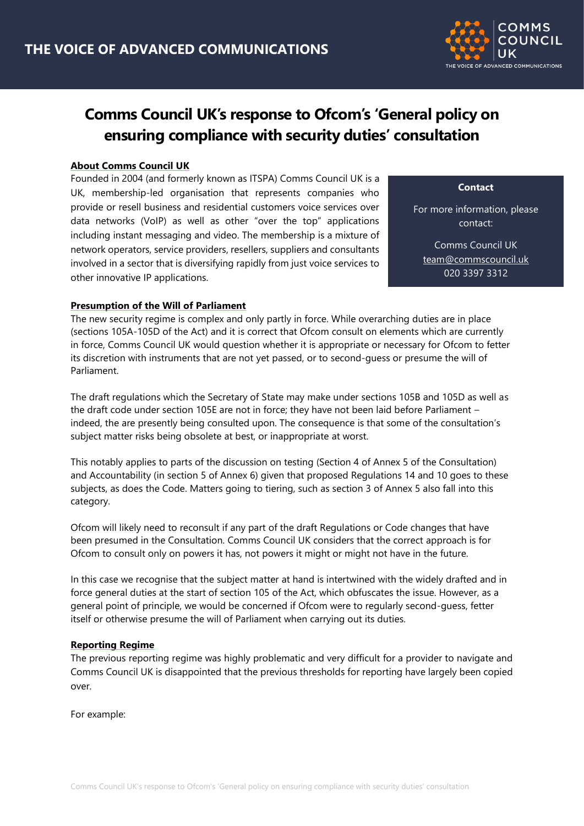

# **Comms Council UK's response to Ofcom's 'General policy on ensuring compliance with security duties' consultation**

### **About Comms Council UK**

Founded in 2004 (and formerly known as ITSPA) Comms Council UK is a UK, membership-led organisation that represents companies who provide or resell business and residential customers voice services over data networks (VoIP) as well as other "over the top" applications including instant messaging and video. The membership is a mixture of network operators, service providers, resellers, suppliers and consultants involved in a sector that is diversifying rapidly from just voice services to other innovative IP applications.

**Contact**

For more information, please contact:

Comms Council UK [team@commscouncil.uk](mailto:team@commscouncil.uk) 020 3397 3312

@commscounciluk

# **Presumption of the Will of Parliament**

The new security regime is complex and only partly in force. While overarching duties are in place (sections 105A-105D of the Act) and it is correct that Ofcom consult on elements which are currently in force, Comms Council UK would question whether it is appropriate or necessary for Ofcom to fetter its discretion with instruments that are not yet passed, or to second-guess or presume the will of Parliament.

The draft regulations which the Secretary of State may make under sections 105B and 105D as well as the draft code under section 105E are not in force; they have not been laid before Parliament – indeed, the are presently being consulted upon. The consequence is that some of the consultation's subject matter risks being obsolete at best, or inappropriate at worst.

This notably applies to parts of the discussion on testing (Section 4 of Annex 5 of the Consultation) and Accountability (in section 5 of Annex 6) given that proposed Regulations 14 and 10 goes to these subjects, as does the Code. Matters going to tiering, such as section 3 of Annex 5 also fall into this category.

Ofcom will likely need to reconsult if any part of the draft Regulations or Code changes that have been presumed in the Consultation. Comms Council UK considers that the correct approach is for Ofcom to consult only on powers it has, not powers it might or might not have in the future.

In this case we recognise that the subject matter at hand is intertwined with the widely drafted and in force general duties at the start of section 105 of the Act, which obfuscates the issue. However, as a general point of principle, we would be concerned if Ofcom were to regularly second-guess, fetter itself or otherwise presume the will of Parliament when carrying out its duties.

### **Reporting Regime**

The previous reporting regime was highly problematic and very difficult for a provider to navigate and Comms Council UK is disappointed that the previous thresholds for reporting have largely been copied over.

For example: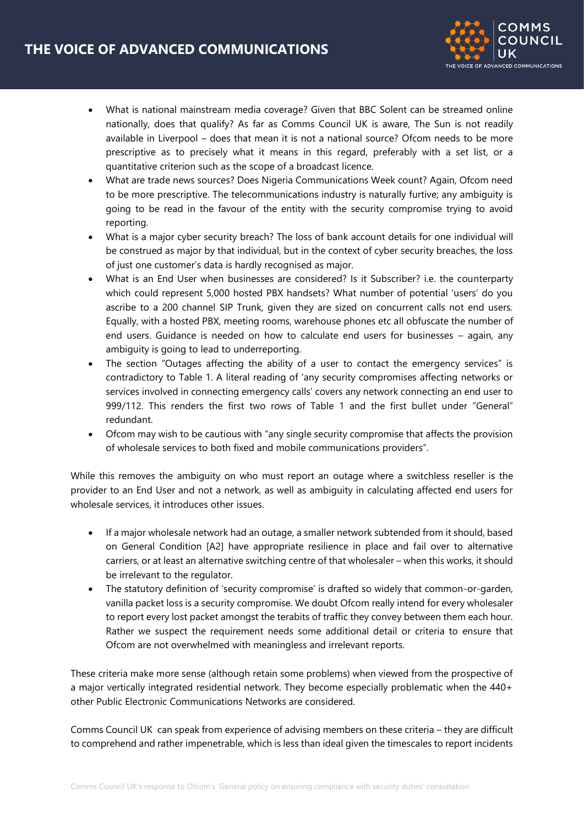

- What is national mainstream media coverage? Given that BBC Solent can be streamed online nationally, does that qualify? As far as Comms Council UK is aware, The Sun is not readily available in Liverpool – does that mean it is not a national source? Ofcom needs to be more prescriptive as to precisely what it means in this regard, preferably with a set list, or a quantitative criterion such as the scope of a broadcast licence.
- What are trade news sources? Does Nigeria Communications Week count? Again, Ofcom need to be more prescriptive. The telecommunications industry is naturally furtive; any ambiguity is going to be read in the favour of the entity with the security compromise trying to avoid reporting.
- What is a major cyber security breach? The loss of bank account details for one individual will be construed as major by that individual, but in the context of cyber security breaches, the loss of just one customer's data is hardly recognised as major.
- What is an End User when businesses are considered? Is it Subscriber? i.e. the counterparty which could represent 5,000 hosted PBX handsets? What number of potential 'users' do you ascribe to a 200 channel SIP Trunk, given they are sized on concurrent calls not end users. Equally, with a hosted PBX, meeting rooms, warehouse phones etc all obfuscate the number of end users. Guidance is needed on how to calculate end users for businesses – again, any ambiguity is going to lead to underreporting.
- The section "Outages affecting the ability of a user to contact the emergency services" is contradictory to Table 1. A literal reading of 'any security compromises affecting networks or services involved in connecting emergency calls' covers any network connecting an end user to 999/112. This renders the first two rows of Table 1 and the first bullet under "General" redundant.
- Ofcom may wish to be cautious with "any single security compromise that affects the provision of wholesale services to both fixed and mobile communications providers".

While this removes the ambiguity on who must report an outage where a switchless reseller is the provider to an End User and not a network, as well as ambiguity in calculating affected end users for wholesale services, it introduces other issues.

- If a major wholesale network had an outage, a smaller network subtended from it should, based on General Condition [A2] have appropriate resilience in place and fail over to alternative carriers, or at least an alternative switching centre of that wholesaler – when this works, it should be irrelevant to the regulator.
- The statutory definition of 'security compromise' is drafted so widely that common-or-garden, vanilla packet loss is a security compromise. We doubt Ofcom really intend for every wholesaler to report every lost packet amongst the terabits of traffic they convey between them each hour. Rather we suspect the requirement needs some additional detail or criteria to ensure that Ofcom are not overwhelmed with meaningless and irrelevant reports.

These criteria make more sense (although retain some problems) when viewed from the prospective of a major vertically integrated residential network. They become especially problematic when the 440+ other Public Electronic Communications Networks are considered.

Comms Council UK can speak from experience of advising members on these criteria – they are difficult to comprehend and rather impenetrable, which is less than ideal given the timescales to report incidents